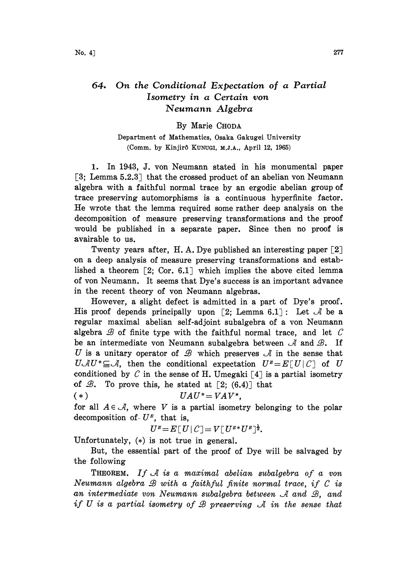## 64. On the Conditional Expectation of a Partial Isometry in a Certain yon Neumann Algebra

## By Marie CHODA

Department of Mathematics, Osaka Gakugei University (Comm. by Kinjirô KUNUGI, M.J.A., April 12, 1965)

1. In 1943, d. von Neumann stated in his monumental paper [3; Lemma 5.2.3] that the crossed product of an abelian von Neumann algebra with a faithful normal trace by an ergodic abelian group of trace preserving automorphisms is a continuous hyperfinite factor. He wrote that the lemma required some rather deep analysis on the .decomposition of measure preserving transformations and the proof would be published in a separate paper. Since then no proof is avairable to us.

Twenty years after, H.A. Dye published an interesting paper  $\lceil 2 \rceil$ on a deep analysis of measure preserving transformations and established a theorem  $\lceil 2; \text{Cor. } 6.1 \rceil$  which implies the above cited lemma of von Neumann. It seems that Dye's success is an important advance in the recent theory of von Neumann algebras.

However, a slight defect is admitted in a part of Dye's proof. His proof depends principally upon [2; Lemma 6.1]: Let  $\mathcal A$  be a regular maximal abelian self-adjoint subalgebra of a yon Neumann algebra  $\mathcal B$  of finite type with the faithful normal trace, and let  $\mathcal C$ be an intermediate von Neumann subalgebra between  $\mathcal A$  and  $\mathcal B$ . If U is a unitary operator of  $\mathcal B$  which preserves  $\mathcal A$  in the sense that  $U \mathcal{A} U^* \subseteq \mathcal{A}$ , then the conditional expectation  $U^{\mu} = E[U|\mathcal{C}]$  of U conditioned by C in the sense of H. Umegaki [4] is a partial isometry of  $\mathcal{B}$ . To prove this, he stated at  $\lceil 2; (6.4) \rceil$  that

(\*)  $UAU^* = VAV^*$ ,

for all  $A \in \mathcal{A}$ , where V is a partial isometry belonging to the polar decomposition of  $U^{\mu}$ , that is,

$$
U^{\mathit{E}}\!=\!E\,[\,U\,|\,\mathcal{C}\,]\!=\!V\,[\,U^{\mathit{E}*}U^{\mathit{E}}\,]^{\frac{1}{2}}.
$$

Unfortunately,  $(*)$  is not true in general.

But, the essential part of the proof of Dye will be salvaged by the following

THEOREM. If  $\mathcal A$  is a maximal abelian subalgebra of a von Neumann algebra  $\mathcal B$  with a faithful finite normal trace, if  $\mathcal C$  is an intermediate von Neumann subalgebra between  $\mathcal A$  and  $\mathcal B$ , and if U is a partial isometry of B preserving  $\mathcal A$  in the sense that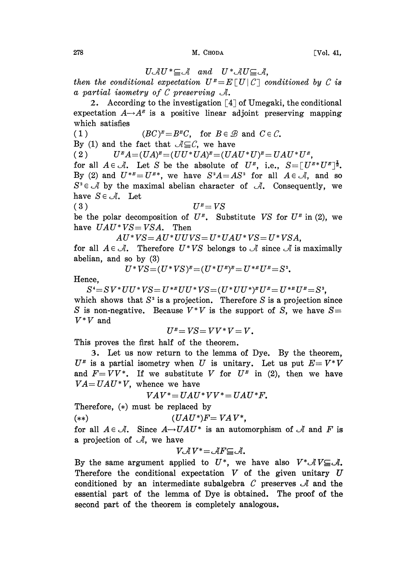## $278$  [Vol. 41,

 $U \mathcal{A} U^* \subseteq \mathcal{A}$  and  $U^* \mathcal{A} U \subseteq \mathcal{A}$ ,<br>al expectation  $U^* = E[U|C]$  c then the conditional expectation  $U^{\mu}=E[U|C]$  conditioned by C is a partial isometry of C preserving  $\mathcal{A}$ . a partial isometry of  $C$  preserving  $\mathcal{A}$ .

2. According to the investigation  $\lceil 4 \rceil$  of Umegaki, the conditional expectation  $A\rightarrow A^{\mu}$  is a positive linear adjoint preserving mapping which satisfies

(1)  $(BC)^{\underline{p}} = B^{\underline{p}}C$ , for  $B \in \mathcal{B}$  and  $C \in \mathcal{C}$ .

By (1) and the fact that  $A \subseteq C$ , we have

(2)  $U^{\mu}A=(UA)^{\mu}=(UU^*UA)^{\mu}=(UAU^*U)^{\mu}=UAU^*U^{\mu},$ 

(2)  $U^{\mu}A=(UA)^{\mu}=(UU^*UA)^{\mu}=(UAU^*U)^{\mu}=UAU^*U^{\mu},$ <br>for all  $A\in\mathcal{A}$ . Let S be the absolute of  $U^{\mu}$ , i.e.,  $S=[U^{\mu*}U^{\mu}]^{\frac{1}{2}}$ . By (2) and  $U^{*E} = U^{E*}$ , we have  $S^2A = AS^2$  for all  $A \in \mathcal{A}$ , and so  $S^2 \in \mathcal{A}$  by the maximal abelian character of  $\mathcal{A}$ . Consequently, we have  $S \in \mathcal{A}$ . Let

(3)  $U^E = VS$ be the polar decomposition of  $U^E$ . Substitute VS for  $U^E$  in (2), we have  $UAU*VS = VSA$ . Then

 $AU^*VS = AU^*UUVS = U^*UAU^*VS = U^*VSA,$ 

for all  $A \in \mathcal{A}$ . Therefore  $U^*VS$  belongs to  $\mathcal A$  since  $\mathcal A$  is maximally abelian, and so by (3)

$$
U^*V\!S\!=\!(U^*V\!S)^{\mathbf{E}}\!=\!(U^*U^{\mathbf{E}})^{\mathbf{E}}\!=\!U^{*\mathbf{E}}U^{\mathbf{E}}\!=\!S^{\mathbf{2}}\!.
$$

Hence,

 $S^4 = SV^* UU^* VS = U^{*E} UU^* VS = (U^* UU^*)^E U^E = U^{*E} U^E = S^2.$ which shows that  $S^2$  is a projection. Therefore S is a projection since S is non-negative. Because  $V^*V$  is the support of S, we have  $S=$  $V^*V$  and

$$
U^{\scriptscriptstyle B}\!=\!V\!S\!=\!VV^*V\!=\!V\textit{.}
$$

 $U^{\mu} = VS = VV^*V = V.$ <br>This proves the first half of the theorem.

3. Let us now return to the lemma of Dye. By the theorem,  $U^{\mu}$  is a partial isometry when U is unitary. Let us put  $E=V^*V$ and  $F=VV^*$ . If we substitute V for  $U^{\mu}$  in (2), then we have  $VA = UAU*V$ , whence we have

 $VAV^* = UAU^*VV^* = UAU^*F.$ 

Therefore,  $(*)$  must be replaced by

(\*\*)  $(UAU^*)F = VAV^*$ ,

for all  $A \in \mathcal{A}$ . Since  $A \rightarrow UAU^*$  is an automorphism of  $\mathcal A$  and F is a projection of  $\mathcal{A}$ , we have

$$
V \mathcal{A} V^* = \mathcal{A} F \subseteq \mathcal{A}.
$$

By the same argument applied to  $U^*$ , we have also  $V^* \mathcal{A} V \subseteq \mathcal{A}$ . Therefore the conditional expectation  $V$  of the given unitary  $U$ conditioned by an intermediate subalgebra C preserves  $\mathcal A$  and the essential part of the lemma of Dye is obtained. The proof of the second part of the theorem is completely analogous.